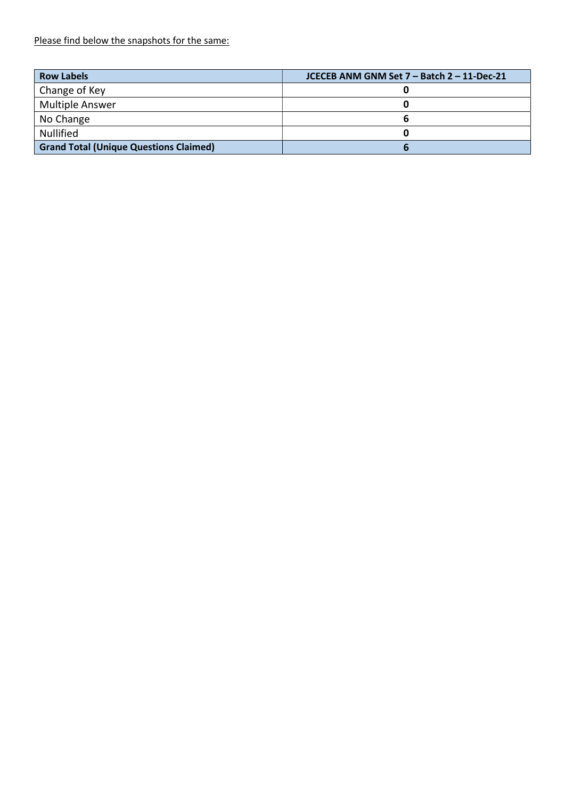Please find below the snapshots for the same:

| <b>Row Labels</b>                             | JCECEB ANM GNM Set 7 - Batch 2 - 11-Dec-21 |
|-----------------------------------------------|--------------------------------------------|
| Change of Key                                 |                                            |
| <b>Multiple Answer</b>                        |                                            |
| No Change                                     |                                            |
| <b>Nullified</b>                              |                                            |
| <b>Grand Total (Unique Questions Claimed)</b> |                                            |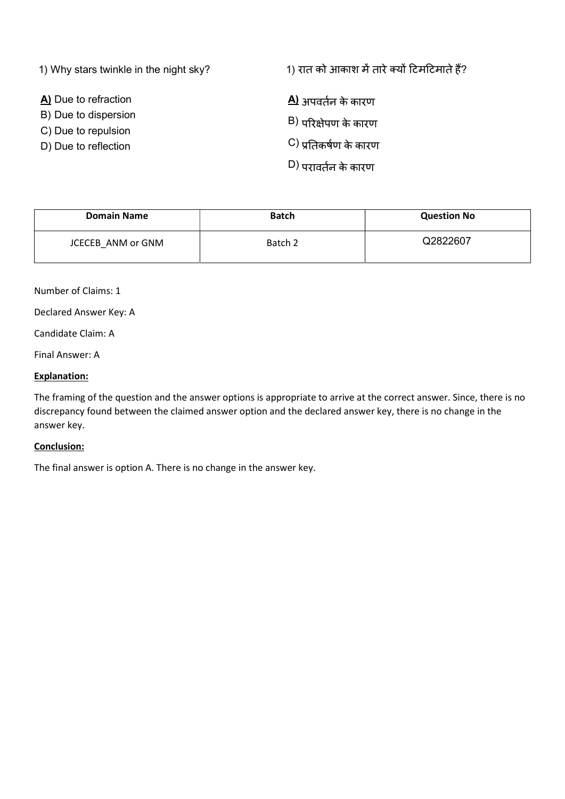1) Why stars twinkle in the night sky?

A) Due to refraction

B) Due to dispersion

- C) Due to repulsion
- D) Due to reflection

1) रात को आकाश में तारे क्यों टिमटिमाते हैं?

 $\Delta$ ) अपवर्तन के कारण  $B$ ) परिक्षेपण के कारण  $\mathsf{C}$ ) प्रतिकर्षण के कारण  $D$ ) परावर्तन के कारण

| <b>Domain Name</b> | <b>Batch</b> | <b>Question No</b> |
|--------------------|--------------|--------------------|
| JCECEB ANM or GNM  | Batch 2      | Q2822607           |

Number of Claims: 1

Declared Answer Key: A

Candidate Claim: A

Final Answer: A

#### Explanation:

The framing of the question and the answer options is appropriate to arrive at the correct answer. Since, there is no discrepancy found between the claimed answer option and the declared answer key, there is no change in the answer key.

#### Conclusion:

The final answer is option A. There is no change in the answer key.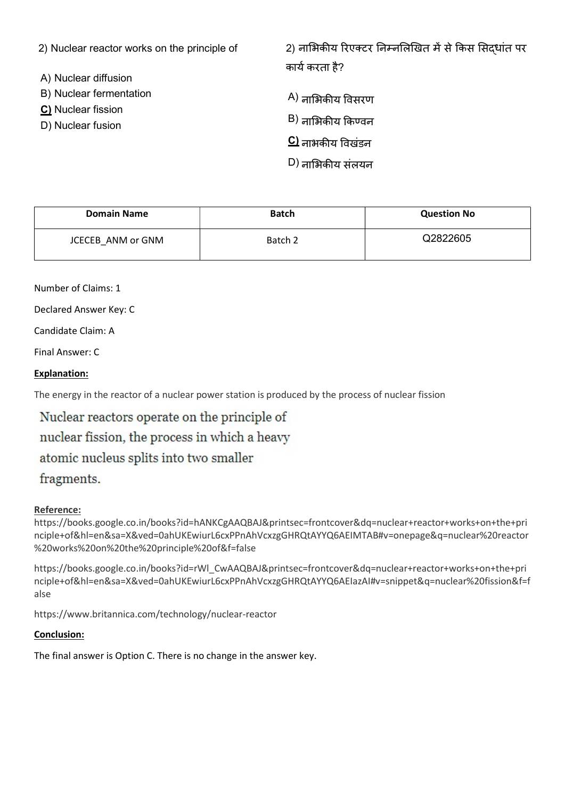| 2) Nuclear reactor works on the principle of                                               | 2) नाभिकीय रिएक्टर निम्नलिखित में से किस सिदधांत पर |
|--------------------------------------------------------------------------------------------|-----------------------------------------------------|
| A) Nuclear diffusion<br>B) Nuclear fermentation<br>C) Nuclear fission<br>D) Nuclear fusion | कार्य करता है?<br>A) नाभिकीय विसरण                  |
|                                                                                            | $\vert$ B) नाभिकीय किण्वन                           |
|                                                                                            | $\mathbf C$ ) नाभकीय विखंडन                         |
|                                                                                            | D) नाभिकीय संलयन                                    |

| <b>Domain Name</b> | <b>Batch</b> | <b>Question No</b> |
|--------------------|--------------|--------------------|
| JCECEB ANM or GNM  | Batch 2      | Q2822605           |

Number of Claims: 1

Declared Answer Key: C

Candidate Claim: A

Final Answer: C

# Explanation:

The energy in the reactor of a nuclear power station is produced by the process of nuclear fission

Nuclear reactors operate on the principle of nuclear fission, the process in which a heavy atomic nucleus splits into two smaller fragments.

## Reference:

https://books.google.co.in/books?id=hANKCgAAQBAJ&printsec=frontcover&dq=nuclear+reactor+works+on+the+pri nciple+of&hl=en&sa=X&ved=0ahUKEwiurL6cxPPnAhVcxzgGHRQtAYYQ6AEIMTAB#v=onepage&q=nuclear%20reactor %20works%20on%20the%20principle%20of&f=false

https://books.google.co.in/books?id=rWl\_CwAAQBAJ&printsec=frontcover&dq=nuclear+reactor+works+on+the+pri nciple+of&hl=en&sa=X&ved=0ahUKEwiurL6cxPPnAhVcxzgGHRQtAYYQ6AEIazAI#v=snippet&q=nuclear%20fission&f=f alse

https://www.britannica.com/technology/nuclear-reactor

## Conclusion:

The final answer is Option C. There is no change in the answer key.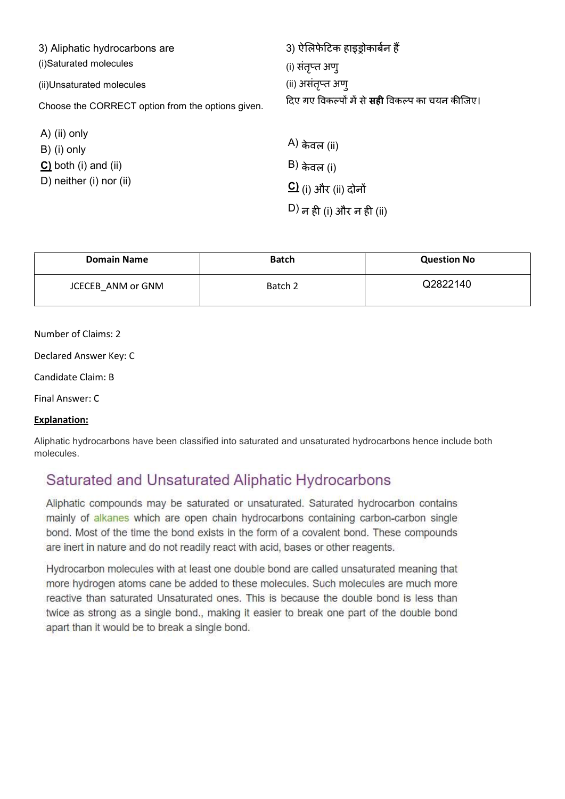| 3) Aliphatic hydrocarbons are                     | 3) ऐलिफेटिक हाइड़ोकार्बन हैं                           |
|---------------------------------------------------|--------------------------------------------------------|
| (i)Saturated molecules                            | (i) संतृप्त अण्                                        |
| (ii) Unsaturated molecules                        | (ii) असंतृप्त अण्                                      |
| Choose the CORRECT option from the options given. | दिए गए विकल्पों में से <b>सही</b> विकल्प का चयन कीजिए। |
| A) (ii) only                                      |                                                        |
| B) (i) only                                       | A) केवल (ii)                                           |
| $C$ ) both (i) and (ii)                           | B) केवल (i)                                            |
| D) neither (i) nor (ii)                           | <u>C)</u> (i) और (ii) दोनों                            |
|                                                   | <sup>D)</sup> न ही (i) और न ही (ii)                    |
|                                                   |                                                        |

| <b>Domain Name</b> | <b>Batch</b> | <b>Question No</b> |
|--------------------|--------------|--------------------|
| JCECEB ANM or GNM  | Batch 2      | Q2822140           |

# Number of Claims: 2

Declared Answer Key: C

Candidate Claim: B

Final Answer: C

#### Explanation:

Aliphatic hydrocarbons have been classified into saturated and unsaturated hydrocarbons hence include both molecules.

# Saturated and Unsaturated Aliphatic Hydrocarbons

Aliphatic compounds may be saturated or unsaturated. Saturated hydrocarbon contains mainly of alkanes which are open chain hydrocarbons containing carbon-carbon single bond. Most of the time the bond exists in the form of a covalent bond. These compounds are inert in nature and do not readily react with acid, bases or other reagents.

Hydrocarbon molecules with at least one double bond are called unsaturated meaning that more hydrogen atoms cane be added to these molecules. Such molecules are much more reactive than saturated Unsaturated ones. This is because the double bond is less than twice as strong as a single bond., making it easier to break one part of the double bond apart than it would be to break a single bond.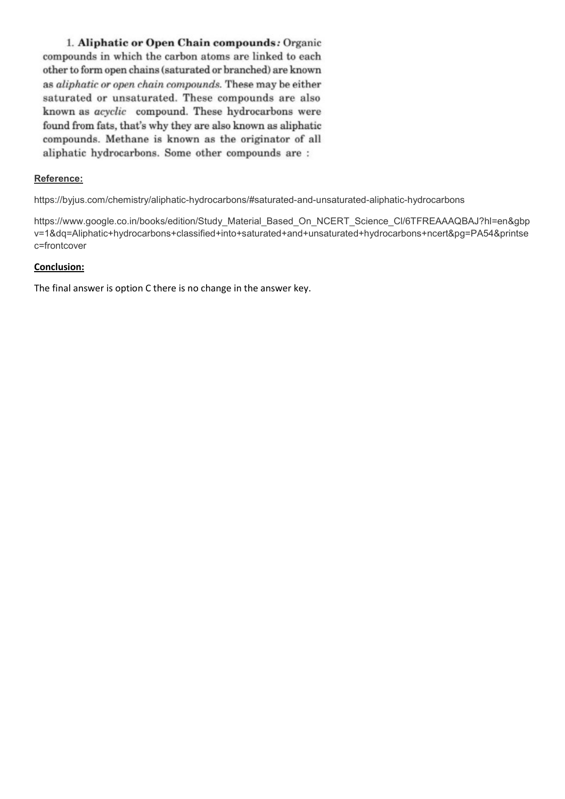1. Aliphatic or Open Chain compounds: Organic compounds in which the carbon atoms are linked to each other to form open chains (saturated or branched) are known as *aliphatic* or open chain compounds. These may be either saturated or unsaturated. These compounds are also known as acyclic compound. These hydrocarbons were found from fats, that's why they are also known as aliphatic compounds. Methane is known as the originator of all aliphatic hydrocarbons. Some other compounds are :

#### Reference:

https://byjus.com/chemistry/aliphatic-hydrocarbons/#saturated-and-unsaturated-aliphatic-hydrocarbons

https://www.google.co.in/books/edition/Study\_Material\_Based\_On\_NCERT\_Science\_Cl/6TFREAAAQBAJ?hl=en&gbp v=1&dq=Aliphatic+hydrocarbons+classified+into+saturated+and+unsaturated+hydrocarbons+ncert&pg=PA54&printse c=frontcover

#### Conclusion:

The final answer is option C there is no change in the answer key.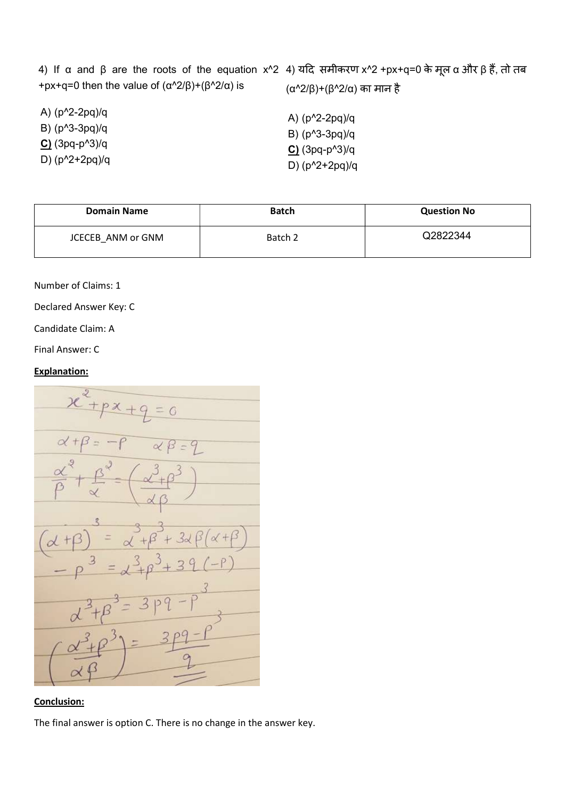|                                              | 4) If α and β are the roots of the equation x^2_4) यदि समीकरण x^2 +px+q=0 के मूल α और β हैं, तो तब |
|----------------------------------------------|----------------------------------------------------------------------------------------------------|
| +px+q=0 then the value of (α^2/β)+(β^2/α) is | (α^2/β)+(β^2/α) का मान है                                                                          |

| A) $(p^2-2pq)/q$ | A) $(p^2-2pq)/q$ |
|------------------|------------------|
| B) $(p^3-3pq)/q$ | B) $(p^3-3pq)/q$ |
| $C(3pq-p^3)/q$   | $C(3pq-p^3)/q$   |
| D) $(p^2+2pq)/q$ | D) $(p^2+2pq)/q$ |

| <b>Domain Name</b> | <b>Batch</b> | <b>Question No</b> |
|--------------------|--------------|--------------------|
| JCECEB ANM or GNM  | Batch 2      | Q2822344           |

Number of Claims: 1

Declared Answer Key: C

Candidate Claim: A

Final Answer: C

# Explanation:



# Conclusion:

The final answer is option C. There is no change in the answer key.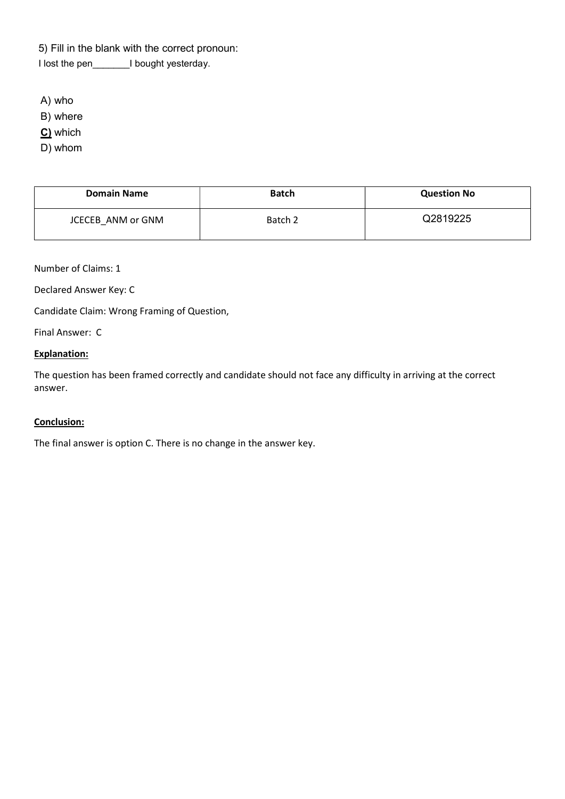5) Fill in the blank with the correct pronoun:

I lost the pen\_\_\_\_\_\_\_I bought yesterday.

A) who

B) where

C) which

D) whom

| <b>Domain Name</b> | <b>Batch</b> | <b>Question No</b> |
|--------------------|--------------|--------------------|
| JCECEB ANM or GNM  | Batch 2      | Q2819225           |

Number of Claims: 1

Declared Answer Key: C

Candidate Claim: Wrong Framing of Question,

Final Answer: C

#### Explanation:

The question has been framed correctly and candidate should not face any difficulty in arriving at the correct answer.

# Conclusion:

The final answer is option C. There is no change in the answer key.